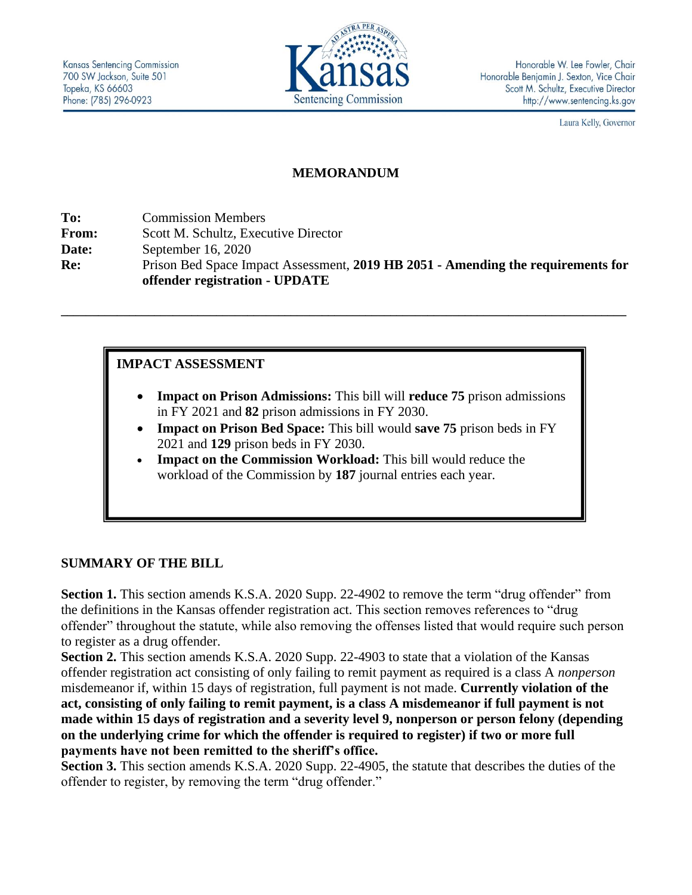

Laura Kelly, Governor

## **MEMORANDUM**

**To:** Commission Members **From:** Scott M. Schultz, Executive Director **Date:** September 16, 2020 **Re:** Prison Bed Space Impact Assessment, **2019 HB 2051 - Amending the requirements for offender registration - UPDATE**

**\_\_\_\_\_\_\_\_\_\_\_\_\_\_\_\_\_\_\_\_\_\_\_\_\_\_\_\_\_\_\_\_\_\_\_\_\_\_\_\_\_\_\_\_\_\_\_\_\_\_\_\_\_\_\_\_\_\_\_\_\_\_\_\_\_\_\_\_\_\_\_\_\_\_\_\_\_\_\_\_\_\_\_\_\_\_\_\_\_\_\_**

### **IMPACT ASSESSMENT**

- **Impact on Prison Admissions:** This bill will **reduce 75** prison admissions in FY 2021 and **82** prison admissions in FY 2030.
- **Impact on Prison Bed Space:** This bill would **save 75** prison beds in FY 2021 and **129** prison beds in FY 2030.
- **Impact on the Commission Workload:** This bill would reduce the workload of the Commission by **187** journal entries each year.

#### **SUMMARY OF THE BILL**

**Section 1.** This section amends K.S.A. 2020 Supp. 22-4902 to remove the term "drug offender" from the definitions in the Kansas offender registration act. This section removes references to "drug offender" throughout the statute, while also removing the offenses listed that would require such person to register as a drug offender.

**Section 2.** This section amends K.S.A. 2020 Supp. 22-4903 to state that a violation of the Kansas offender registration act consisting of only failing to remit payment as required is a class A *nonperson* misdemeanor if, within 15 days of registration, full payment is not made. **Currently violation of the act, consisting of only failing to remit payment, is a class A misdemeanor if full payment is not made within 15 days of registration and a severity level 9, nonperson or person felony (depending on the underlying crime for which the offender is required to register) if two or more full payments have not been remitted to the sheriff's office.**

**Section 3.** This section amends K.S.A. 2020 Supp. 22-4905, the statute that describes the duties of the offender to register, by removing the term "drug offender."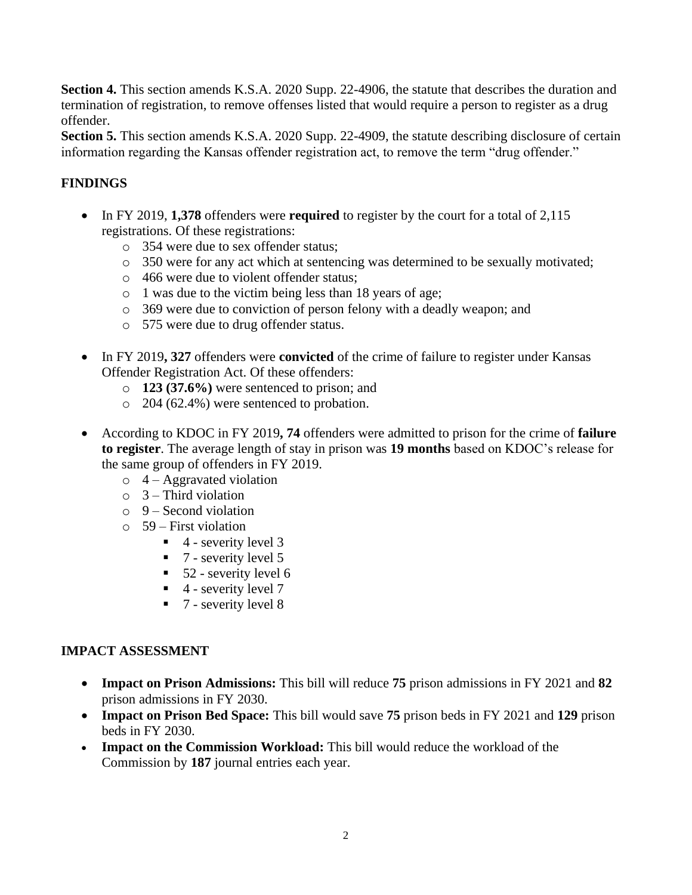**Section 4.** This section amends K.S.A. 2020 Supp. 22-4906, the statute that describes the duration and termination of registration, to remove offenses listed that would require a person to register as a drug offender.

**Section 5.** This section amends K.S.A. 2020 Supp. 22-4909, the statute describing disclosure of certain information regarding the Kansas offender registration act, to remove the term "drug offender."

# **FINDINGS**

- In FY 2019, **1,378** offenders were **required** to register by the court for a total of 2,115 registrations. Of these registrations:
	- o 354 were due to sex offender status;
	- o 350 were for any act which at sentencing was determined to be sexually motivated;
	- o 466 were due to violent offender status;
	- o 1 was due to the victim being less than 18 years of age;
	- o 369 were due to conviction of person felony with a deadly weapon; and
	- o 575 were due to drug offender status.
- In FY 2019**, 327** offenders were **convicted** of the crime of failure to register under Kansas Offender Registration Act. Of these offenders:
	- o **123 (37.6%)** were sentenced to prison; and
	- o 204 (62.4%) were sentenced to probation.
- According to KDOC in FY 2019**, 74** offenders were admitted to prison for the crime of **failure to register**. The average length of stay in prison was **19 months** based on KDOC's release for the same group of offenders in FY 2019.
	- $\circ$  4 Aggravated violation
	- $\circ$  3 Third violation
	- $\circ$  9 Second violation
	- $\circ$  59 First violation
		- $\blacksquare$  4 severity level 3
		- $\blacksquare$  7 severity level 5
		- $\blacksquare$  52 severity level 6
		- $\blacksquare$  4 severity level 7
		- $\blacksquare$  7 severity level 8

## **IMPACT ASSESSMENT**

- **Impact on Prison Admissions:** This bill will reduce **75** prison admissions in FY 2021 and **82**  prison admissions in FY 2030.
- **Impact on Prison Bed Space:** This bill would save **75** prison beds in FY 2021 and **129** prison beds in FY 2030.
- **Impact on the Commission Workload:** This bill would reduce the workload of the Commission by **187** journal entries each year.